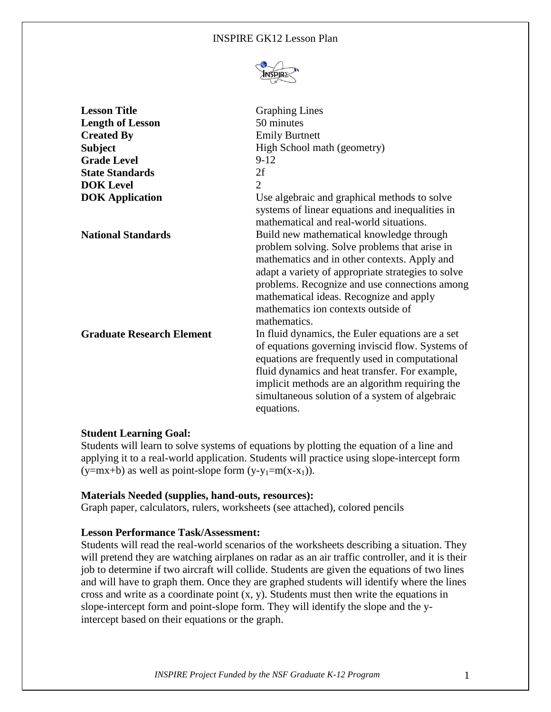### INSPIRE GK12 Lesson Plan



| <b>Lesson Title</b><br><b>Length of Lesson</b><br><b>Created By</b><br><b>Subject</b><br><b>Grade Level</b><br><b>State Standards</b><br><b>DOK</b> Level | <b>Graphing Lines</b><br>50 minutes<br><b>Emily Burtnett</b><br>High School math (geometry)<br>$9-12$<br>2f<br>$\overline{2}$                                                                                                                                                                                                                                                                                                                    |
|-----------------------------------------------------------------------------------------------------------------------------------------------------------|--------------------------------------------------------------------------------------------------------------------------------------------------------------------------------------------------------------------------------------------------------------------------------------------------------------------------------------------------------------------------------------------------------------------------------------------------|
| <b>DOK</b> Application                                                                                                                                    | Use algebraic and graphical methods to solve                                                                                                                                                                                                                                                                                                                                                                                                     |
| <b>National Standards</b>                                                                                                                                 | systems of linear equations and inequalities in<br>mathematical and real-world situations.<br>Build new mathematical knowledge through<br>problem solving. Solve problems that arise in<br>mathematics and in other contexts. Apply and<br>adapt a variety of appropriate strategies to solve<br>problems. Recognize and use connections among<br>mathematical ideas. Recognize and apply<br>mathematics ion contexts outside of<br>mathematics. |
| <b>Graduate Research Element</b>                                                                                                                          | In fluid dynamics, the Euler equations are a set<br>of equations governing inviscid flow. Systems of<br>equations are frequently used in computational<br>fluid dynamics and heat transfer. For example,<br>implicit methods are an algorithm requiring the<br>simultaneous solution of a system of algebraic<br>equations.                                                                                                                      |

#### **Student Learning Goal:**

Students will learn to solve systems of equations by plotting the equation of a line and applying it to a real-world application. Students will practice using slope-intercept form  $(y=mx+b)$  as well as point-slope form  $(y-y_1=m(x-x_1))$ .

#### **Materials Needed (supplies, hand-outs, resources):**

Graph paper, calculators, rulers, worksheets (see attached), colored pencils

#### **Lesson Performance Task/Assessment:**

Students will read the real-world scenarios of the worksheets describing a situation. They will pretend they are watching airplanes on radar as an air traffic controller, and it is their job to determine if two aircraft will collide. Students are given the equations of two lines and will have to graph them. Once they are graphed students will identify where the lines cross and write as a coordinate point  $(x, y)$ . Students must then write the equations in slope-intercept form and point-slope form. They will identify the slope and the yintercept based on their equations or the graph.